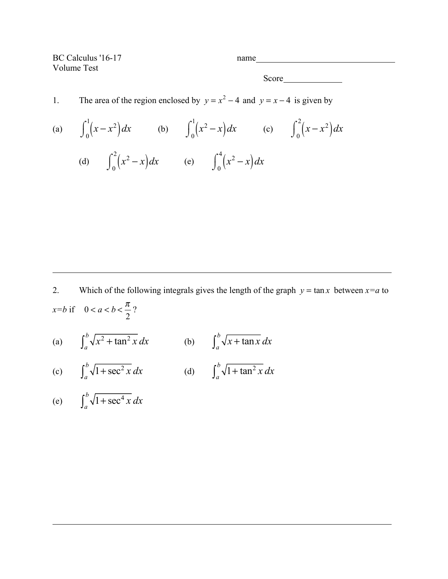BC Calculus '16-17 name Volume Test

Score

## 1. The area of the region enclosed by  $y = x^2 - 4$  and  $y = x - 4$  is given by

(a)  $\int_0^1 (x - x^2) dx$  $\int_0^1 (x - x^2) dx$  (b)  $\int_0^1 (x^2 - x) dx$  $\int_0^1 (x^2 - x) dx$  (c)  $\int_0^2 (x - x^2) dx$  $\int_0^2$  $\int$ (d)  $\int_0^2 (x^2 - x) dx$  $\int_0^2 (x^2 - x) dx$  (e)  $\int_0^4 (x^2 - x) dx$  $\int_0^4$ 

 $\int$ 

2. Which of the following integrals gives the length of the graph  $y = \tan x$  between  $x=a$  to  $x=b$  if  $0 < a < b < \frac{\pi}{2}$ 2 ?

(a)  $\int_a^b \sqrt{x^2 + \tan^2 x} \, dx$  (b)  $\int_a^b \sqrt{x + \tan x} \, dx$ 

(c) 
$$
\int_{a}^{b} \sqrt{1 + \sec^{2} x} \, dx
$$
 (d)  $\int_{a}^{b} \sqrt{1 + \tan^{2} x} \, dx$ 

$$
\text{(e)} \qquad \int_{a}^{b} \sqrt{1 + \sec^4 x} \, dx
$$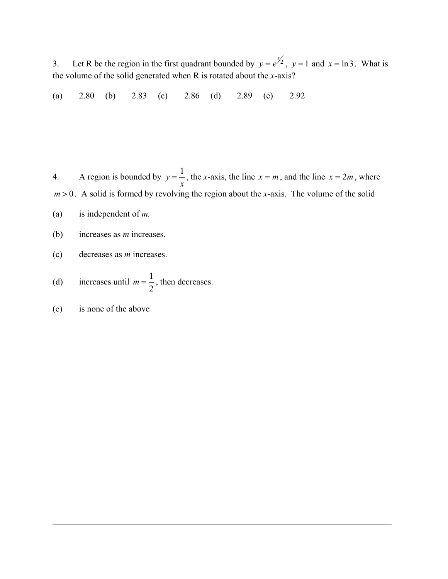3. Let R be the region in the first quadrant bounded by  $y = e^{x/2}$ ,  $y = 1$  and  $x = \ln 3$ . What is the volume of the solid generated when R is rotated about the *x*-axis?

(a) 2.80 (b) 2.83 (c) 2.86 (d) 2.89 (e) 2.92

4. A region is bounded by  $y = \frac{1}{x}$ *x* , the *x*-axis, the line  $x = m$ , and the line  $x = 2m$ , where  $m > 0$ . A solid is formed by revolving the region about the *x*-axis. The volume of the solid

(a) is independent of *m.*

- (b) increases as *m* increases.
- (c) decreases as *m* increases.

(d) increases until 
$$
m = \frac{1}{2}
$$
, then decreases.

(e) is none of the above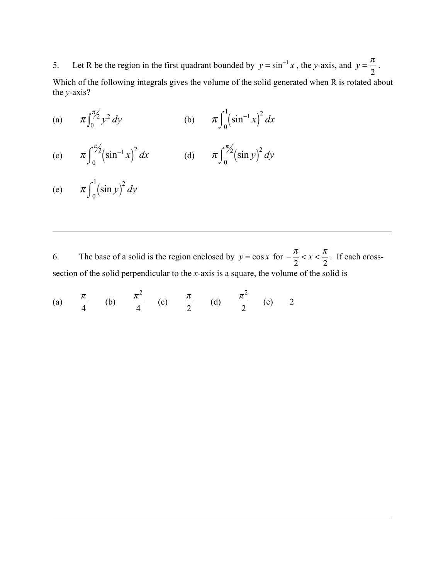5. Let R be the region in the first quadrant bounded by  $y = \sin^{-1} x$ , the *y*-axis, and  $y = \frac{\pi}{2}$ .

Which of the following integrals gives the volume of the solid generated when R is rotated about the *y*-axis?

- (a)  $\pi \int_0^{\pi/2} y^2 dy$  $\int_0^{\pi/2} y^2 dy$  (b)  $\pi \int_0^1 (\sin^{-1} x)^2 dx$ 0  $\int_0^1$  $\int$
- (c)  $\pi \int_{0}^{\pi/2} (\sin^{-1} x)^2 dx$ 0  $\int_0^{\pi/2}$  $\int$  $\int_0^{\pi/2} (\sin^{-1} x)^2 dx$  (d)  $\pi \int_0^{\pi/2} (\sin y)^2 dy$  $\int$
- (e)  $\pi \int_0^1 (\sin y)^2 dy$  $\int_0^1$  $\int$

6. The base of a solid is the region enclosed by  $y = cos x$  for  $-\frac{\pi}{2}$ 2  $\lt x \lt \frac{\pi}{a}$ 2 . If each crosssection of the solid perpendicular to the *x*-axis is a square, the volume of the solid is

(a) 
$$
\frac{\pi}{4}
$$
 (b)  $\frac{\pi^2}{4}$  (c)  $\frac{\pi}{2}$  (d)  $\frac{\pi^2}{2}$  (e) 2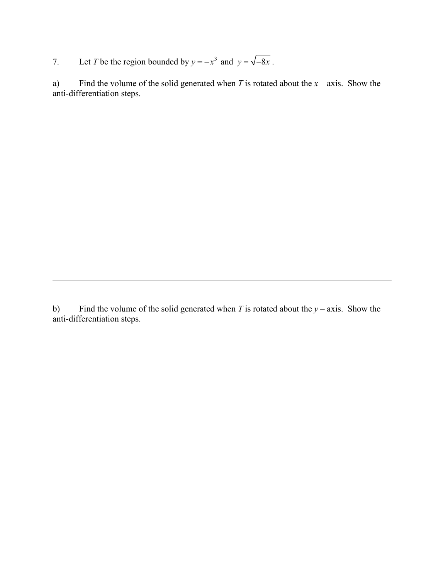7. Let *T* be the region bounded by  $y = -x^3$  and  $y = \sqrt{-8x}$ .

a) Find the volume of the solid generated when *T* is rotated about the *x* – axis. Show the anti-differentiation steps.

b) Find the volume of the solid generated when *T* is rotated about the *y* – axis. Show the anti-differentiation steps.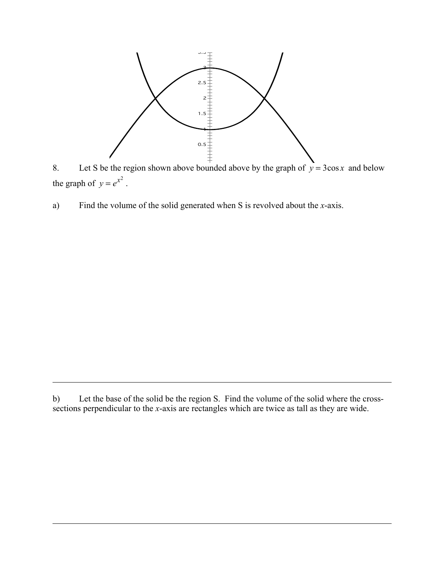

8. Let S be the region shown above bounded above by the graph of  $y = 3\cos x$  and below the graph of  $y = e^{x^2}$ .

a) Find the volume of the solid generated when S is revolved about the *x*-axis.

b) Let the base of the solid be the region S. Find the volume of the solid where the crosssections perpendicular to the *x*-axis are rectangles which are twice as tall as they are wide.